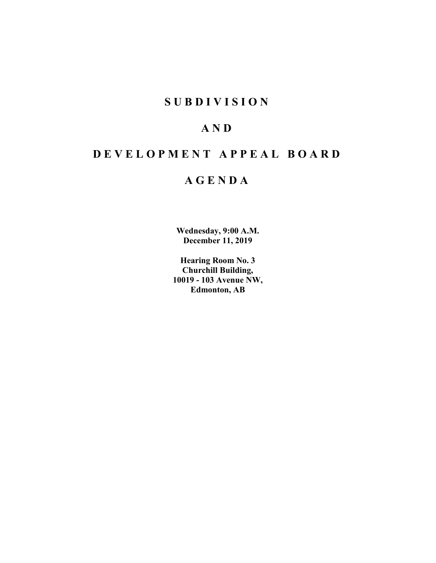## **SUBDIVISION**

# **AND**

# **DEVELOPMENT APPEAL BOARD**

## **AGENDA**

**Wednesday, 9:00 A.M. December 11, 2019**

**Hearing Room No. 3 Churchill Building, 10019 - 103 Avenue NW, Edmonton, AB**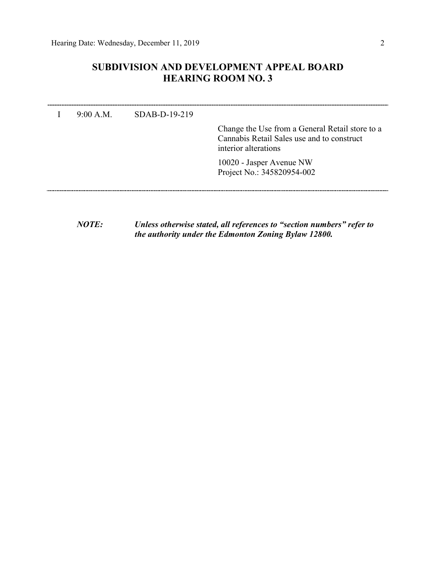## **SUBDIVISION AND DEVELOPMENT APPEAL BOARD HEARING ROOM NO. 3**

| $9.00 \text{ A M}$ | $SDAB-D-19-219$ |                                                                                                                       |
|--------------------|-----------------|-----------------------------------------------------------------------------------------------------------------------|
|                    |                 | Change the Use from a General Retail store to a<br>Cannabis Retail Sales use and to construct<br>interior alterations |
|                    |                 | 10020 - Jasper Avenue NW<br>Project No.: 345820954-002                                                                |
|                    |                 |                                                                                                                       |

*NOTE: Unless otherwise stated, all references to "section numbers" refer to the authority under the Edmonton Zoning Bylaw 12800.*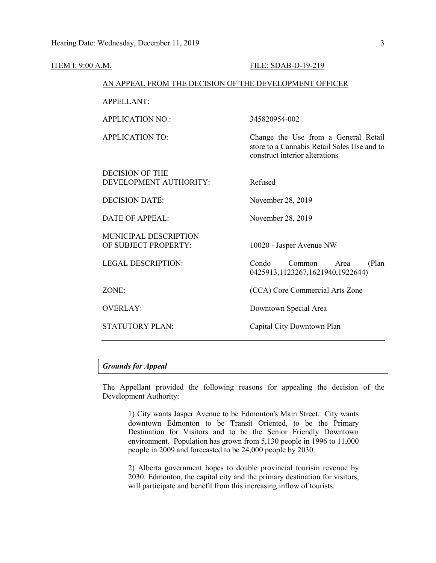| <u>ITEM I: 9:00 A.M.</u> |                                                        | <b>FILE: SDAB-D-19-219</b>                                                                                            |  |  |
|--------------------------|--------------------------------------------------------|-----------------------------------------------------------------------------------------------------------------------|--|--|
|                          | AN APPEAL FROM THE DECISION OF THE DEVELOPMENT OFFICER |                                                                                                                       |  |  |
|                          | <b>APPELLANT:</b>                                      |                                                                                                                       |  |  |
|                          | <b>APPLICATION NO.:</b>                                | 345820954-002                                                                                                         |  |  |
|                          | <b>APPLICATION TO:</b>                                 | Change the Use from a General Retail<br>store to a Cannabis Retail Sales Use and to<br>construct interior alterations |  |  |
|                          | <b>DECISION OF THE</b><br>DEVELOPMENT AUTHORITY:       | Refused                                                                                                               |  |  |
|                          | <b>DECISION DATE:</b>                                  | November 28, 2019                                                                                                     |  |  |
|                          | <b>DATE OF APPEAL:</b>                                 | November 28, 2019                                                                                                     |  |  |
|                          | MUNICIPAL DESCRIPTION<br>OF SUBJECT PROPERTY:          | 10020 - Jasper Avenue NW                                                                                              |  |  |
|                          | <b>LEGAL DESCRIPTION:</b>                              | Condo<br>Common<br>(Plan)<br>Area<br>0425913,1123267,1621940,1922644)                                                 |  |  |
|                          | ZONE:                                                  | (CCA) Core Commercial Arts Zone                                                                                       |  |  |
|                          | <b>OVERLAY:</b>                                        | Downtown Special Area                                                                                                 |  |  |
|                          | <b>STATUTORY PLAN:</b>                                 | Capital City Downtown Plan                                                                                            |  |  |
|                          |                                                        |                                                                                                                       |  |  |

## *Grounds for Appeal*

The Appellant provided the following reasons for appealing the decision of the Development Authority:

1) City wants Jasper Avenue to be Edmonton's Main Street. City wants downtown Edmonton to be Transit Oriented, to be the Primary Destination for Visitors and to be the Senior Friendly Downtown environment. Population has grown from 5,130 people in 1996 to 11,000 people in 2009 and forecasted to be 24,000 people by 2030.

2) Alberta government hopes to double provincial tourism revenue by 2030. Edmonton, the capital city and the primary destination for visitors, will participate and benefit from this increasing inflow of tourists.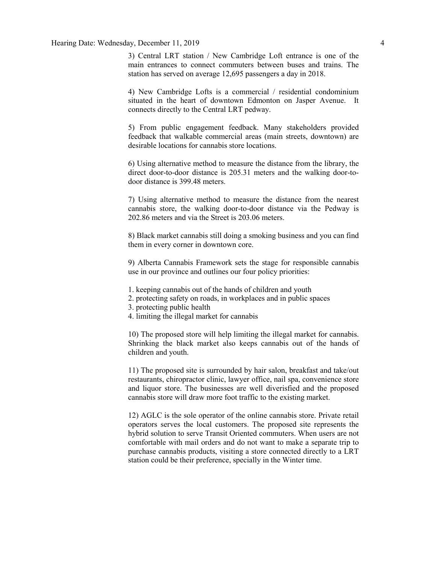### Hearing Date: Wednesday, December 11, 2019 4

3) Central LRT station / New Cambridge Loft entrance is one of the main entrances to connect commuters between buses and trains. The station has served on average 12,695 passengers a day in 2018.

4) New Cambridge Lofts is a commercial / residential condominium situated in the heart of downtown Edmonton on Jasper Avenue. It connects directly to the Central LRT pedway.

5) From public engagement feedback. Many stakeholders provided feedback that walkable commercial areas (main streets, downtown) are desirable locations for cannabis store locations.

6) Using alternative method to measure the distance from the library, the direct door-to-door distance is 205.31 meters and the walking door-todoor distance is 399.48 meters.

7) Using alternative method to measure the distance from the nearest cannabis store, the walking door-to-door distance via the Pedway is 202.86 meters and via the Street is 203.06 meters.

8) Black market cannabis still doing a smoking business and you can find them in every corner in downtown core.

9) Alberta Cannabis Framework sets the stage for responsible cannabis use in our province and outlines our four policy priorities:

- 1. keeping cannabis out of the hands of children and youth
- 2. protecting safety on roads, in workplaces and in public spaces
- 3. protecting public health
- 4. limiting the illegal market for cannabis

10) The proposed store will help limiting the illegal market for cannabis. Shrinking the black market also keeps cannabis out of the hands of children and youth.

11) The proposed site is surrounded by hair salon, breakfast and take/out restaurants, chiropractor clinic, lawyer office, nail spa, convenience store and liquor store. The businesses are well diverisfied and the proposed cannabis store will draw more foot traffic to the existing market.

12) AGLC is the sole operator of the online cannabis store. Private retail operators serves the local customers. The proposed site represents the hybrid solution to serve Transit Oriented commuters. When users are not comfortable with mail orders and do not want to make a separate trip to purchase cannabis products, visiting a store connected directly to a LRT station could be their preference, specially in the Winter time.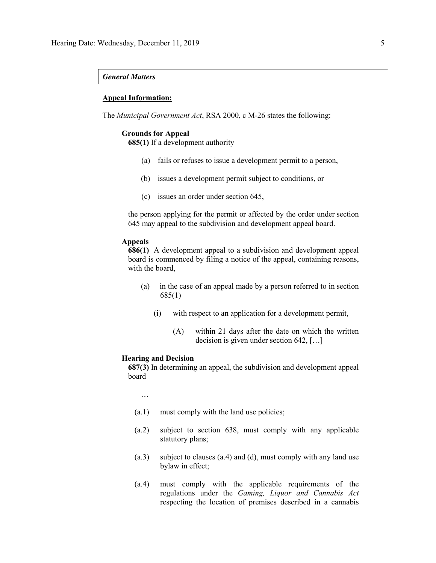#### *General Matters*

## **Appeal Information:**

The *Municipal Government Act*, RSA 2000, c M-26 states the following:

#### **Grounds for Appeal**

**685(1)** If a development authority

- (a) fails or refuses to issue a development permit to a person,
- (b) issues a development permit subject to conditions, or
- (c) issues an order under section 645,

the person applying for the permit or affected by the order under section 645 may appeal to the subdivision and development appeal board.

### **Appeals**

**686(1)** A development appeal to a subdivision and development appeal board is commenced by filing a notice of the appeal, containing reasons, with the board,

- (a) in the case of an appeal made by a person referred to in section 685(1)
	- (i) with respect to an application for a development permit,
		- (A) within 21 days after the date on which the written decision is given under section 642, […]

#### **Hearing and Decision**

**687(3)** In determining an appeal, the subdivision and development appeal board

…

- (a.1) must comply with the land use policies;
- (a.2) subject to section 638, must comply with any applicable statutory plans;
- (a.3) subject to clauses (a.4) and (d), must comply with any land use bylaw in effect;
- (a.4) must comply with the applicable requirements of the regulations under the *Gaming, Liquor and Cannabis Act* respecting the location of premises described in a cannabis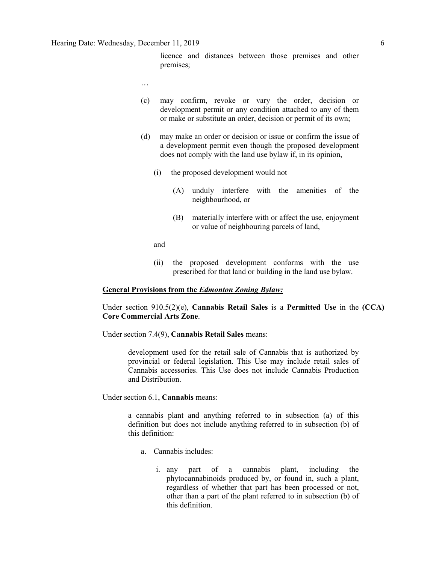licence and distances between those premises and other premises;

- …
- (c) may confirm, revoke or vary the order, decision or development permit or any condition attached to any of them or make or substitute an order, decision or permit of its own;
- (d) may make an order or decision or issue or confirm the issue of a development permit even though the proposed development does not comply with the land use bylaw if, in its opinion,
	- (i) the proposed development would not
		- (A) unduly interfere with the amenities of the neighbourhood, or
		- (B) materially interfere with or affect the use, enjoyment or value of neighbouring parcels of land,

and

(ii) the proposed development conforms with the use prescribed for that land or building in the land use bylaw.

## **General Provisions from the** *Edmonton Zoning Bylaw:*

Under section 910.5(2)(e), **Cannabis Retail Sales** is a **Permitted Use** in the **(CCA) Core Commercial Arts Zone**.

Under section 7.4(9), **Cannabis Retail Sales** means:

development used for the retail sale of Cannabis that is authorized by provincial or federal legislation. This Use may include retail sales of Cannabis accessories. This Use does not include Cannabis Production and Distribution.

Under section 6.1, **Cannabis** means:

a cannabis plant and anything referred to in subsection (a) of this definition but does not include anything referred to in subsection (b) of this definition:

- a. Cannabis includes:
	- i. any part of a cannabis plant, including the phytocannabinoids produced by, or found in, such a plant, regardless of whether that part has been processed or not, other than a part of the plant referred to in subsection (b) of this definition.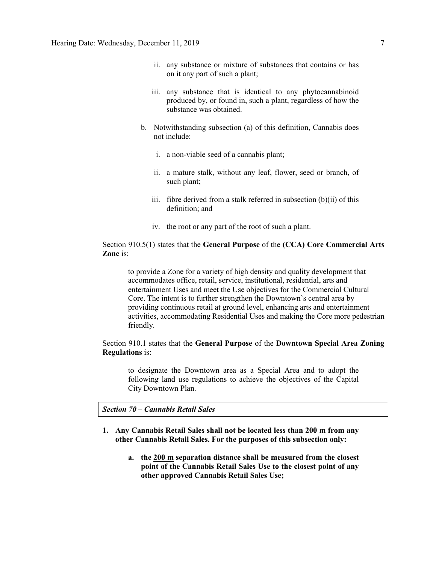- ii. any substance or mixture of substances that contains or has on it any part of such a plant;
- iii. any substance that is identical to any phytocannabinoid produced by, or found in, such a plant, regardless of how the substance was obtained.
- b. Notwithstanding subsection (a) of this definition, Cannabis does not include:
	- i. a non-viable seed of a cannabis plant;
	- ii. a mature stalk, without any leaf, flower, seed or branch, of such plant;
	- iii. fibre derived from a stalk referred in subsection (b)(ii) of this definition; and
	- iv. the root or any part of the root of such a plant.

Section 910.5(1) states that the **General Purpose** of the **(CCA) Core Commercial Arts Zone** is:

to provide a Zone for a variety of high density and quality development that accommodates office, retail, service, institutional, residential, arts and entertainment Uses and meet the Use objectives for the Commercial Cultural Core. The intent is to further strengthen the Downtown's central area by providing continuous retail at ground level, enhancing arts and entertainment activities, accommodating Residential Uses and making the Core more pedestrian friendly.

Section 910.1 states that the **General Purpose** of the **Downtown Special Area Zoning Regulations** is:

to designate the Downtown area as a Special Area and to adopt the following land use regulations to achieve the objectives of the Capital City Downtown Plan.

*Section 70 – Cannabis Retail Sales*

- **1. Any Cannabis Retail Sales shall not be located less than 200 m from any other Cannabis Retail Sales. For the purposes of this subsection only:**
	- **a. the [200 m](javascript:void(0);) separation distance shall be measured from the closest point of the Cannabis Retail Sales Use to the closest point of any other approved Cannabis Retail Sales Use;**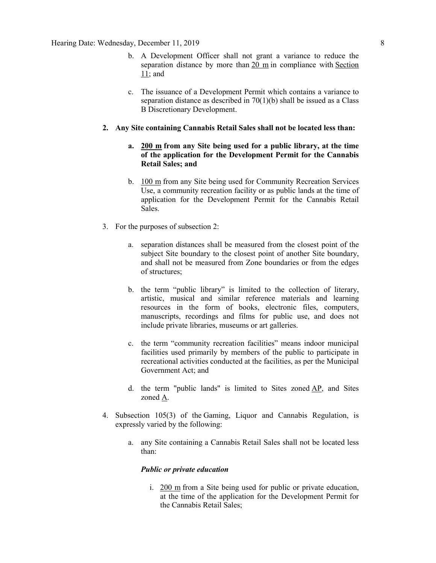- b. A Development Officer shall not grant a variance to reduce the separation distance by more than [20 m](javascript:void(0);) in compliance with [Section](https://webdocs.edmonton.ca/InfraPlan/zoningbylaw/ZoningBylaw/Part1/Administrative/11__Authority_and_Responsibility_of_the_Development_Officer.htm)  [11;](https://webdocs.edmonton.ca/InfraPlan/zoningbylaw/ZoningBylaw/Part1/Administrative/11__Authority_and_Responsibility_of_the_Development_Officer.htm) and
- c. The issuance of a Development Permit which contains a variance to separation distance as described in  $70(1)(b)$  shall be issued as a Class B Discretionary Development.

### **2. Any Site containing Cannabis Retail Sales shall not be located less than:**

- **a. [200 m](javascript:void(0);) from any Site being used for a public library, at the time of the application for the Development Permit for the Cannabis Retail Sales; and**
- b. [100 m](javascript:void(0);) from any Site being used for Community Recreation Services Use, a community recreation facility or as public lands at the time of application for the Development Permit for the Cannabis Retail Sales.
- 3. For the purposes of subsection 2:
	- a. separation distances shall be measured from the closest point of the subject Site boundary to the closest point of another Site boundary, and shall not be measured from Zone boundaries or from the edges of structures;
	- b. the term "public library" is limited to the collection of literary, artistic, musical and similar reference materials and learning resources in the form of books, electronic files, computers, manuscripts, recordings and films for public use, and does not include private libraries, museums or art galleries.
	- c. the term "community recreation facilities" means indoor municipal facilities used primarily by members of the public to participate in recreational activities conducted at the facilities, as per the Municipal Government Act; and
	- d. the term "public lands" is limited to Sites zoned [AP,](https://webdocs.edmonton.ca/InfraPlan/zoningbylaw/ZoningBylaw/Part2/Urban/530_(AP)_Public_Parks_Zone.htm) and Sites zoned [A.](https://webdocs.edmonton.ca/InfraPlan/zoningbylaw/ZoningBylaw/Part2/Urban/540_(A)_Metropolitan_Recreation_Zone.htm)
- 4. Subsection 105(3) of the Gaming, Liquor and Cannabis Regulation, is expressly varied by the following:
	- a. any Site containing a Cannabis Retail Sales shall not be located less than:

## *Public or private education*

i. [200 m](javascript:void(0);) from a Site being used for public or private education, at the time of the application for the Development Permit for the Cannabis Retail Sales;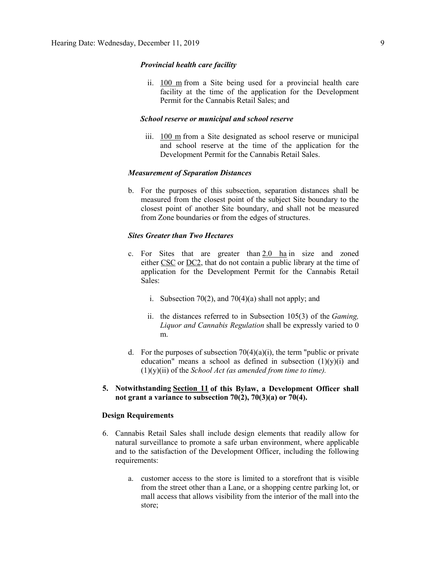#### *Provincial health care facility*

ii. [100 m](javascript:void(0);) from a Site being used for a provincial health care facility at the time of the application for the Development Permit for the Cannabis Retail Sales; and

### *School reserve or municipal and school reserve*

iii. [100 m](javascript:void(0);) from a Site designated as school reserve or municipal and school reserve at the time of the application for the Development Permit for the Cannabis Retail Sales.

### *Measurement of Separation Distances*

b. For the purposes of this subsection, separation distances shall be measured from the closest point of the subject Site boundary to the closest point of another Site boundary, and shall not be measured from Zone boundaries or from the edges of structures.

## *Sites Greater than Two Hectares*

- c. For Sites that are greater than  $2.0$  ha in size and zoned either [CSC](https://webdocs.edmonton.ca/InfraPlan/zoningbylaw/ZoningBylaw/Part2/Commercial/320_(CSC)_Shopping_Centre_Zone.htm) or [DC2,](https://webdocs.edmonton.ca/InfraPlan/zoningbylaw/ZoningBylaw/Part2/Direct/720_(DC2)_Site_Specific_Development_Control_Provision.htm) that do not contain a public library at the time of application for the Development Permit for the Cannabis Retail Sales:
	- i. Subsection 70(2), and 70(4)(a) shall not apply; and
	- ii. the distances referred to in Subsection 105(3) of the *Gaming, Liquor and Cannabis Regulation* shall be expressly varied to 0 m.
- d. For the purposes of subsection  $70(4)(a)(i)$ , the term "public or private" education" means a school as defined in subsection  $(1)(y)(i)$  and (1)(y)(ii) of the *School Act (as amended from time to time).*

## **5. Notwithstanding [Section 11](https://webdocs.edmonton.ca/InfraPlan/zoningbylaw/ZoningBylaw/Part1/Administrative/11__Authority_and_Responsibility_of_the_Development_Officer.htm) of this Bylaw, a Development Officer shall not grant a variance to subsection 70(2), 70(3)(a) or 70(4).**

## **Design Requirements**

- 6. Cannabis Retail Sales shall include design elements that readily allow for natural surveillance to promote a safe urban environment, where applicable and to the satisfaction of the Development Officer, including the following requirements:
	- a. customer access to the store is limited to a storefront that is visible from the street other than a Lane, or a shopping centre parking lot, or mall access that allows visibility from the interior of the mall into the store;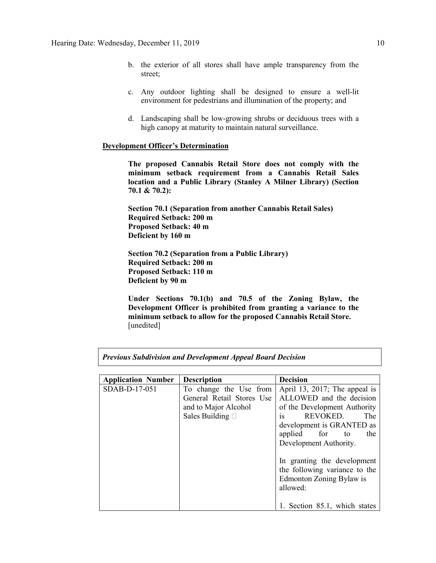- b. the exterior of all stores shall have ample transparency from the street;
- c. Any outdoor lighting shall be designed to ensure a well-lit environment for pedestrians and illumination of the property; and
- d. Landscaping shall be low-growing shrubs or deciduous trees with a high canopy at maturity to maintain natural surveillance.

## **Development Officer's Determination**

**The proposed Cannabis Retail Store does not comply with the minimum setback requirement from a Cannabis Retail Sales location and a Public Library (Stanley A Milner Library) (Section 70.1 & 70.2):**

**Section 70.1 (Separation from another Cannabis Retail Sales) Required Setback: 200 m Proposed Setback: 40 m Deficient by 160 m**

**Section 70.2 (Separation from a Public Library) Required Setback: 200 m Proposed Setback: 110 m Deficient by 90 m**

**Under Sections 70.1(b) and 70.5 of the Zoning Bylaw, the Development Officer is prohibited from granting a variance to the minimum setback to allow for the proposed Cannabis Retail Store.** [unedited]

*Previous Subdivision and Development Appeal Board Decision*

| <b>Application Number</b> | <b>Description</b>        | <b>Decision</b>                                                                                      |
|---------------------------|---------------------------|------------------------------------------------------------------------------------------------------|
| SDAB-D-17-051             | To change the Use from    | April 13, 2017; The appeal is                                                                        |
|                           | General Retail Stores Use | ALLOWED and the decision                                                                             |
|                           | and to Major Alcohol      | of the Development Authority                                                                         |
|                           | Sales Building $\Box$     | REVOKED.<br>The<br><b>1S</b>                                                                         |
|                           |                           | development is GRANTED as                                                                            |
|                           |                           | applied for<br>the<br>to                                                                             |
|                           |                           | Development Authority.                                                                               |
|                           |                           | In granting the development<br>the following variance to the<br>Edmonton Zoning Bylaw is<br>allowed: |
|                           |                           | 1. Section 85.1, which states                                                                        |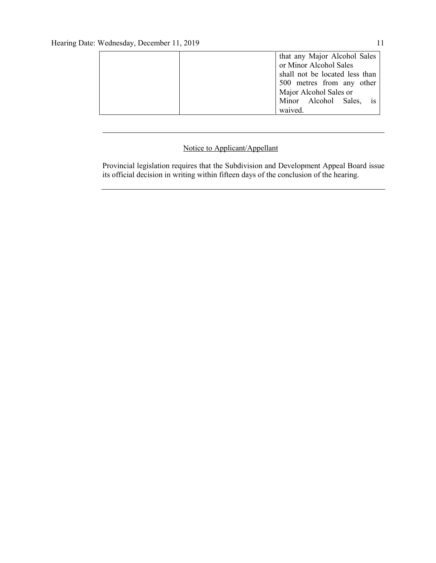| that any Major Alcohol Sales   |
|--------------------------------|
| or Minor Alcohol Sales         |
| shall not be located less than |
| 500 metres from any other      |
| Major Alcohol Sales or         |
| Minor Alcohol Sales, is        |
| waived.                        |

## Notice to Applicant/Appellant

Provincial legislation requires that the Subdivision and Development Appeal Board issue its official decision in writing within fifteen days of the conclusion of the hearing.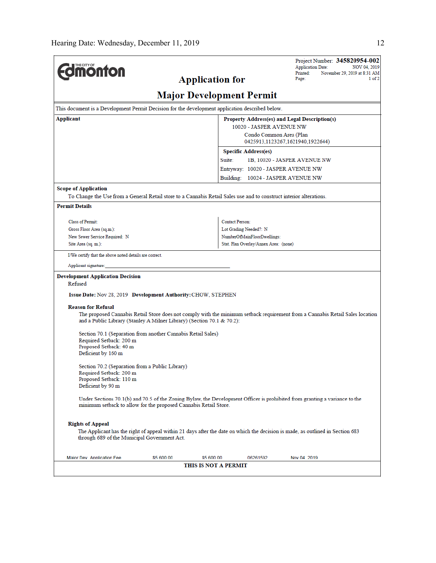|                                                                                                                                                                                                | Project Number: 345820954-002<br><b>Application Date:</b><br>NOV 04, 2019                                                     |  |  |  |  |  |  |
|------------------------------------------------------------------------------------------------------------------------------------------------------------------------------------------------|-------------------------------------------------------------------------------------------------------------------------------|--|--|--|--|--|--|
| <b>monton</b>                                                                                                                                                                                  | Printed:<br>November 29, 2019 at 8:31 AM                                                                                      |  |  |  |  |  |  |
| <b>Application for</b>                                                                                                                                                                         | Page:<br>$1$ of $2$                                                                                                           |  |  |  |  |  |  |
| <b>Major Development Permit</b>                                                                                                                                                                |                                                                                                                               |  |  |  |  |  |  |
| This document is a Development Permit Decision for the development application described below.                                                                                                |                                                                                                                               |  |  |  |  |  |  |
| Applicant<br>Property Address(es) and Legal Description(s)                                                                                                                                     |                                                                                                                               |  |  |  |  |  |  |
| 10020 - JASPER AVENUE NW                                                                                                                                                                       |                                                                                                                               |  |  |  |  |  |  |
|                                                                                                                                                                                                | Condo Common Area (Plan<br>0425913,1123267,1621940,1922644)                                                                   |  |  |  |  |  |  |
|                                                                                                                                                                                                | <b>Specific Address(es)</b>                                                                                                   |  |  |  |  |  |  |
|                                                                                                                                                                                                | Suite:<br>1B, 10020 - JASPER AVENUE NW                                                                                        |  |  |  |  |  |  |
|                                                                                                                                                                                                | Entryway: 10020 - JASPER AVENUE NW                                                                                            |  |  |  |  |  |  |
|                                                                                                                                                                                                | Building: 10024 - JASPER AVENUE NW                                                                                            |  |  |  |  |  |  |
| <b>Scope of Application</b>                                                                                                                                                                    |                                                                                                                               |  |  |  |  |  |  |
| To Change the Use from a General Retail store to a Cannabis Retail Sales use and to construct interior alterations.                                                                            |                                                                                                                               |  |  |  |  |  |  |
| <b>Permit Details</b>                                                                                                                                                                          |                                                                                                                               |  |  |  |  |  |  |
| Class of Permit:                                                                                                                                                                               | <b>Contact Person:</b>                                                                                                        |  |  |  |  |  |  |
| Gross Floor Area (sq.m.):                                                                                                                                                                      | Lot Grading Needed?: N                                                                                                        |  |  |  |  |  |  |
| New Sewer Service Required: N                                                                                                                                                                  | NumberOfMainFloorDwellings:                                                                                                   |  |  |  |  |  |  |
| Site Area (sq. m.):                                                                                                                                                                            | Stat. Plan Overlay/Annex Area: (none)                                                                                         |  |  |  |  |  |  |
| I/We certify that the above noted details are correct.                                                                                                                                         |                                                                                                                               |  |  |  |  |  |  |
| Applicant signature:                                                                                                                                                                           |                                                                                                                               |  |  |  |  |  |  |
| <b>Development Application Decision</b><br>Refused                                                                                                                                             |                                                                                                                               |  |  |  |  |  |  |
| Issue Date: Nov 28, 2019 Development Authority: CHOW, STEPHEN                                                                                                                                  |                                                                                                                               |  |  |  |  |  |  |
|                                                                                                                                                                                                |                                                                                                                               |  |  |  |  |  |  |
| <b>Reason for Refusal</b>                                                                                                                                                                      |                                                                                                                               |  |  |  |  |  |  |
| and a Public Library (Stanley A Milner Library) (Section 70.1 & 70.2):                                                                                                                         | The proposed Cannabis Retail Store does not comply with the minimum setback requirement from a Cannabis Retail Sales location |  |  |  |  |  |  |
| Section 70.1 (Separation from another Cannabis Retail Sales)                                                                                                                                   |                                                                                                                               |  |  |  |  |  |  |
| Required Setback: 200 m<br>Proposed Setback: 40 m                                                                                                                                              |                                                                                                                               |  |  |  |  |  |  |
| Deficient by 160 m                                                                                                                                                                             |                                                                                                                               |  |  |  |  |  |  |
|                                                                                                                                                                                                |                                                                                                                               |  |  |  |  |  |  |
| Section 70.2 (Separation from a Public Library)<br>Required Setback: 200 m                                                                                                                     |                                                                                                                               |  |  |  |  |  |  |
| Proposed Setback: 110 m                                                                                                                                                                        |                                                                                                                               |  |  |  |  |  |  |
| Deficient by 90 m                                                                                                                                                                              |                                                                                                                               |  |  |  |  |  |  |
| Under Sections 70.1(b) and 70.5 of the Zoning Bylaw, the Development Officer is prohibited from granting a variance to the<br>minimum setback to allow for the proposed Cannabis Retail Store. |                                                                                                                               |  |  |  |  |  |  |
| <b>Rights of Appeal</b>                                                                                                                                                                        |                                                                                                                               |  |  |  |  |  |  |
|                                                                                                                                                                                                | The Applicant has the right of appeal within 21 days after the date on which the decision is made, as outlined in Section 683 |  |  |  |  |  |  |
| through 689 of the Municipal Government Act.                                                                                                                                                   |                                                                                                                               |  |  |  |  |  |  |
| Maior Dev Application Fee<br>\$5,600,00<br>\$5,600,00                                                                                                                                          | 06261592<br>Nov 04 2019                                                                                                       |  |  |  |  |  |  |
| <b>THIS IS NOT A PERMIT</b>                                                                                                                                                                    |                                                                                                                               |  |  |  |  |  |  |
|                                                                                                                                                                                                |                                                                                                                               |  |  |  |  |  |  |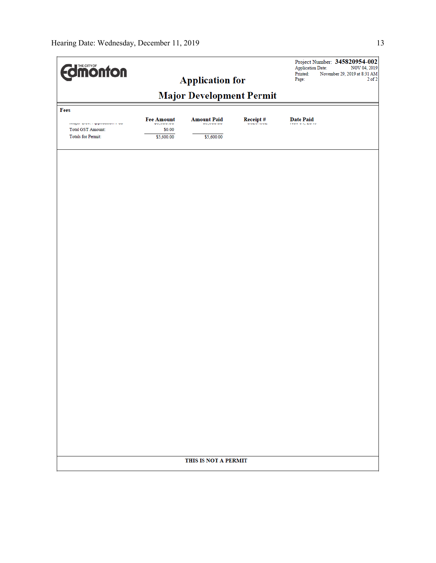| <b>Edition fon</b>                                        |                                           |                                  |                 | Project Number: 345820954-002<br><b>Application Date:</b><br>NOV 04, 2019 |  |  |  |
|-----------------------------------------------------------|-------------------------------------------|----------------------------------|-----------------|---------------------------------------------------------------------------|--|--|--|
|                                                           |                                           | <b>Application for</b>           |                 | Printed:<br>November 29, 2019 at 8:31 AM<br>Page:<br>$2$ of $2$           |  |  |  |
|                                                           |                                           |                                  |                 |                                                                           |  |  |  |
| Fees                                                      | <b>Major Development Permit</b>           |                                  |                 |                                                                           |  |  |  |
| major proxis sppinoadori i ou<br><b>Total GST Amount:</b> | <b>Fee Amount</b><br>wojowana u<br>\$0.00 | <b>Amount Paid</b><br>wojowana o | <b>Receipt#</b> | <b>Date Paid</b><br><b>The Contract Contract</b>                          |  |  |  |
| <b>Totals for Permit:</b>                                 | \$5,600.00                                | \$5,600.00                       |                 |                                                                           |  |  |  |
|                                                           |                                           |                                  |                 |                                                                           |  |  |  |
|                                                           |                                           |                                  |                 |                                                                           |  |  |  |
|                                                           |                                           |                                  |                 |                                                                           |  |  |  |
|                                                           |                                           |                                  |                 |                                                                           |  |  |  |
|                                                           |                                           |                                  |                 |                                                                           |  |  |  |
|                                                           |                                           |                                  |                 |                                                                           |  |  |  |
|                                                           |                                           |                                  |                 |                                                                           |  |  |  |
|                                                           |                                           |                                  |                 |                                                                           |  |  |  |
|                                                           |                                           |                                  |                 |                                                                           |  |  |  |
|                                                           |                                           |                                  |                 |                                                                           |  |  |  |
|                                                           |                                           |                                  |                 |                                                                           |  |  |  |
|                                                           |                                           |                                  |                 |                                                                           |  |  |  |
|                                                           |                                           |                                  |                 |                                                                           |  |  |  |
|                                                           |                                           |                                  |                 |                                                                           |  |  |  |
|                                                           |                                           |                                  |                 |                                                                           |  |  |  |
|                                                           |                                           |                                  |                 |                                                                           |  |  |  |
|                                                           |                                           |                                  |                 |                                                                           |  |  |  |
|                                                           |                                           |                                  |                 |                                                                           |  |  |  |
|                                                           |                                           |                                  |                 |                                                                           |  |  |  |
|                                                           |                                           | THIS IS NOT A PERMIT             |                 |                                                                           |  |  |  |
|                                                           |                                           |                                  |                 |                                                                           |  |  |  |